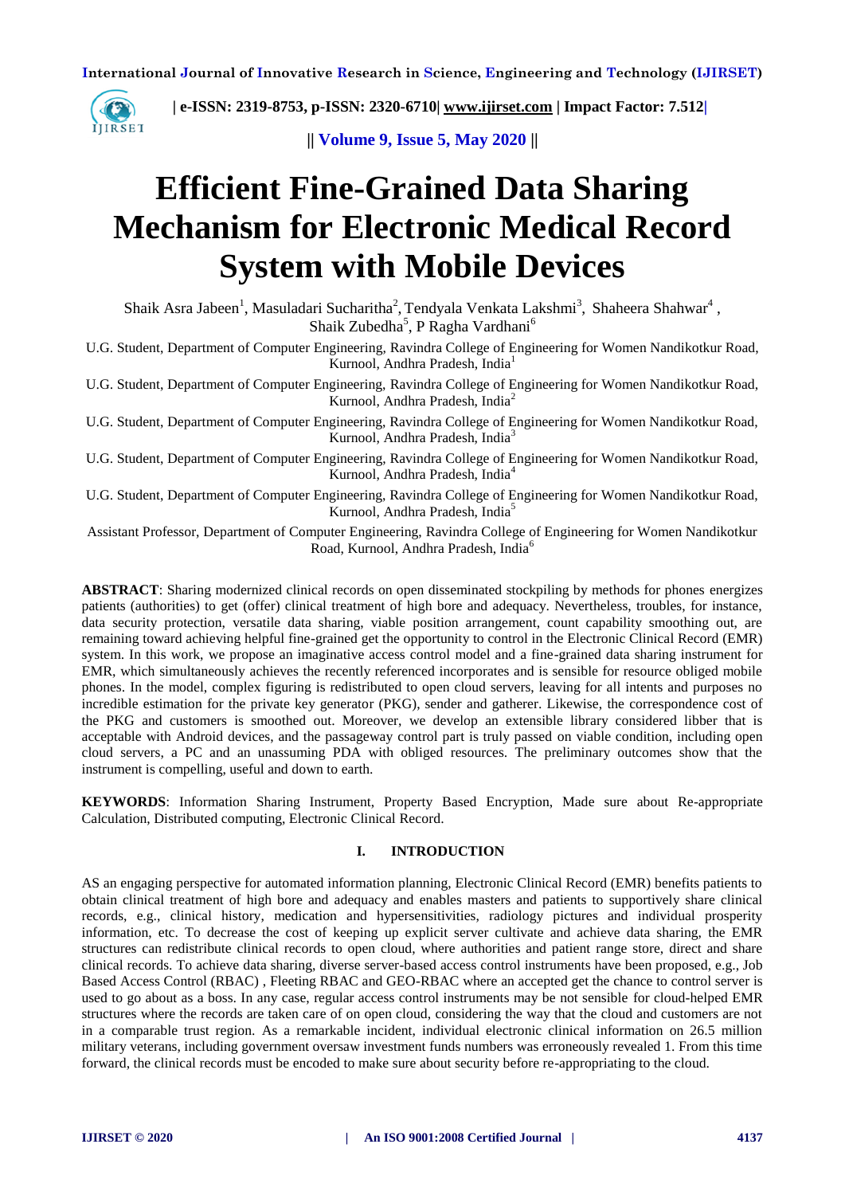**International Journal of Innovative Research in Science, Engineering and Technology (IJIRSET)**



 **| e-ISSN: 2319-8753, p-ISSN: 2320-6710| [www.ijirset.com](http://www.ijirset.com/) | Impact Factor: 7.512|**

**|| Volume 9, Issue 5, May 2020 ||** 

# **Efficient Fine-Grained Data Sharing Mechanism for Electronic Medical Record System with Mobile Devices**

Shaik Asra Jabeen<sup>1</sup>, Masuladari Sucharitha<sup>2</sup>, Tendyala Venkata Lakshmi<sup>3</sup>, Shaheera Shahwar<sup>4</sup>, Shaik Zubedha<sup>5</sup>, P Ragha Vardhani<sup>6</sup>

U.G. Student, Department of Computer Engineering, Ravindra College of Engineering for Women Nandikotkur Road, Kurnool, Andhra Pradesh, India<sup>1</sup>

U.G. Student, Department of Computer Engineering, Ravindra College of Engineering for Women Nandikotkur Road, Kurnool, Andhra Pradesh, India<sup>2</sup>

U.G. Student, Department of Computer Engineering, Ravindra College of Engineering for Women Nandikotkur Road, Kurnool, Andhra Pradesh, India<sup>3</sup>

U.G. Student, Department of Computer Engineering, Ravindra College of Engineering for Women Nandikotkur Road, Kurnool, Andhra Pradesh, India<sup>4</sup>

U.G. Student, Department of Computer Engineering, Ravindra College of Engineering for Women Nandikotkur Road, Kurnool, Andhra Pradesh, India<sup>5</sup>

Assistant Professor, Department of Computer Engineering, Ravindra College of Engineering for Women Nandikotkur Road, Kurnool, Andhra Pradesh, India<sup>6</sup>

**ABSTRACT**: Sharing modernized clinical records on open disseminated stockpiling by methods for phones energizes patients (authorities) to get (offer) clinical treatment of high bore and adequacy. Nevertheless, troubles, for instance, data security protection, versatile data sharing, viable position arrangement, count capability smoothing out, are remaining toward achieving helpful fine-grained get the opportunity to control in the Electronic Clinical Record (EMR) system. In this work, we propose an imaginative access control model and a fine-grained data sharing instrument for EMR, which simultaneously achieves the recently referenced incorporates and is sensible for resource obliged mobile phones. In the model, complex figuring is redistributed to open cloud servers, leaving for all intents and purposes no incredible estimation for the private key generator (PKG), sender and gatherer. Likewise, the correspondence cost of the PKG and customers is smoothed out. Moreover, we develop an extensible library considered libber that is acceptable with Android devices, and the passageway control part is truly passed on viable condition, including open cloud servers, a PC and an unassuming PDA with obliged resources. The preliminary outcomes show that the instrument is compelling, useful and down to earth.

**KEYWORDS**: Information Sharing Instrument, Property Based Encryption, Made sure about Re-appropriate Calculation, Distributed computing, Electronic Clinical Record.

## **I. INTRODUCTION**

AS an engaging perspective for automated information planning, Electronic Clinical Record (EMR) benefits patients to obtain clinical treatment of high bore and adequacy and enables masters and patients to supportively share clinical records, e.g., clinical history, medication and hypersensitivities, radiology pictures and individual prosperity information, etc. To decrease the cost of keeping up explicit server cultivate and achieve data sharing, the EMR structures can redistribute clinical records to open cloud, where authorities and patient range store, direct and share clinical records. To achieve data sharing, diverse server-based access control instruments have been proposed, e.g., Job Based Access Control (RBAC) , Fleeting RBAC and GEO-RBAC where an accepted get the chance to control server is used to go about as a boss. In any case, regular access control instruments may be not sensible for cloud-helped EMR structures where the records are taken care of on open cloud, considering the way that the cloud and customers are not in a comparable trust region. As a remarkable incident, individual electronic clinical information on 26.5 million military veterans, including government oversaw investment funds numbers was erroneously revealed 1. From this time forward, the clinical records must be encoded to make sure about security before re-appropriating to the cloud.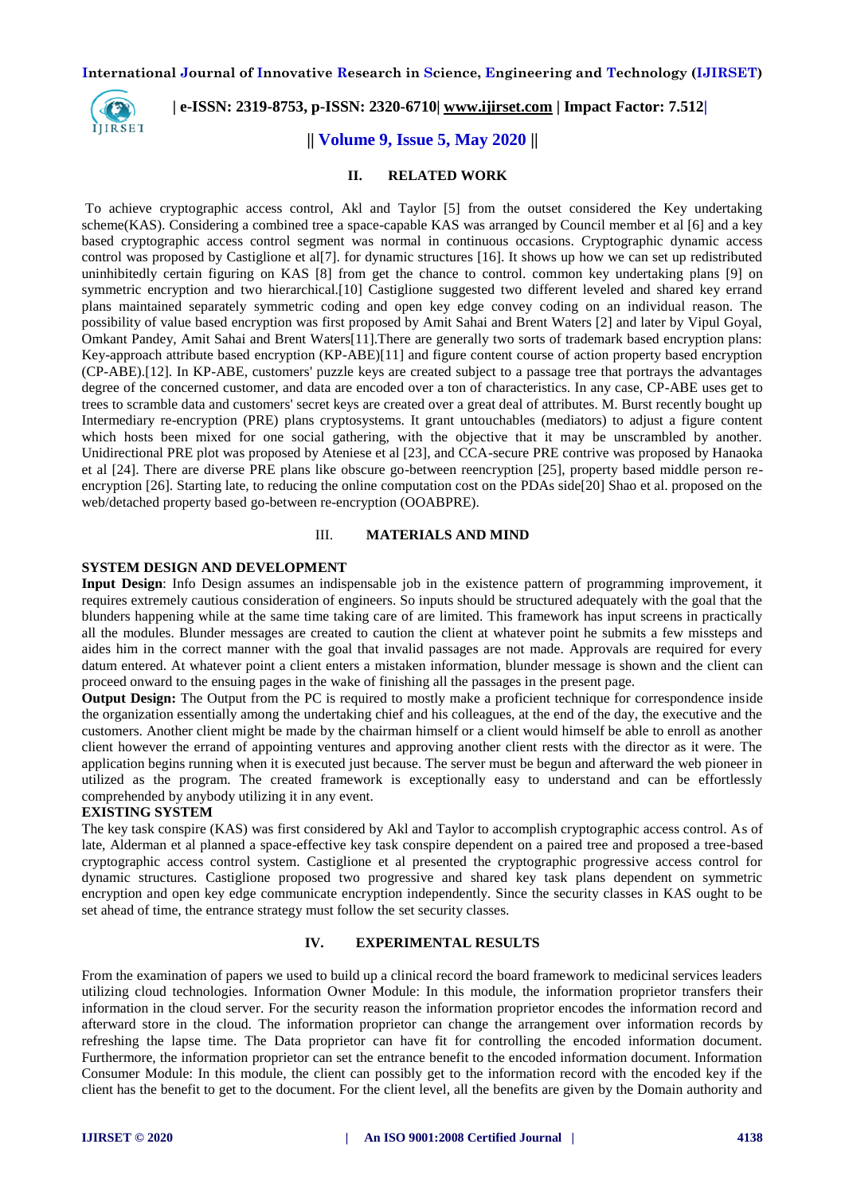**International Journal of Innovative Research in Science, Engineering and Technology (IJIRSET)**



# **| e-ISSN: 2319-8753, p-ISSN: 2320-6710| [www.ijirset.com](http://www.ijirset.com/) | Impact Factor: 7.512|**

# **|| Volume 9, Issue 5, May 2020 ||**

## **II. RELATED WORK**

To achieve cryptographic access control, Akl and Taylor [5] from the outset considered the Key undertaking scheme(KAS). Considering a combined tree a space-capable KAS was arranged by Council member et al [6] and a key based cryptographic access control segment was normal in continuous occasions. Cryptographic dynamic access control was proposed by Castiglione et al[7]. for dynamic structures [16]. It shows up how we can set up redistributed uninhibitedly certain figuring on KAS [8] from get the chance to control. common key undertaking plans [9] on symmetric encryption and two hierarchical.<sup>[10]</sup> Castiglione suggested two different leveled and shared key errand plans maintained separately symmetric coding and open key edge convey coding on an individual reason. The possibility of value based encryption was first proposed by Amit Sahai and Brent Waters [2] and later by Vipul Goyal, Omkant Pandey, Amit Sahai and Brent Waters[11].There are generally two sorts of trademark based encryption plans: Key-approach attribute based encryption (KP-ABE)[11] and figure content course of action property based encryption (CP-ABE).[12]. In KP-ABE, customers' puzzle keys are created subject to a passage tree that portrays the advantages degree of the concerned customer, and data are encoded over a ton of characteristics. In any case, CP-ABE uses get to trees to scramble data and customers' secret keys are created over a great deal of attributes. M. Burst recently bought up Intermediary re-encryption (PRE) plans cryptosystems. It grant untouchables (mediators) to adjust a figure content which hosts been mixed for one social gathering, with the objective that it may be unscrambled by another. Unidirectional PRE plot was proposed by Ateniese et al [23], and CCA-secure PRE contrive was proposed by Hanaoka et al [24]. There are diverse PRE plans like obscure go-between reencryption [25], property based middle person reencryption [26]. Starting late, to reducing the online computation cost on the PDAs side[20] Shao et al. proposed on the web/detached property based go-between re-encryption (OOABPRE).

## III. **MATERIALS AND MIND**

## **SYSTEM DESIGN AND DEVELOPMENT**

**Input Design**: Info Design assumes an indispensable job in the existence pattern of programming improvement, it requires extremely cautious consideration of engineers. So inputs should be structured adequately with the goal that the blunders happening while at the same time taking care of are limited. This framework has input screens in practically all the modules. Blunder messages are created to caution the client at whatever point he submits a few missteps and aides him in the correct manner with the goal that invalid passages are not made. Approvals are required for every datum entered. At whatever point a client enters a mistaken information, blunder message is shown and the client can proceed onward to the ensuing pages in the wake of finishing all the passages in the present page.

**Output Design:** The Output from the PC is required to mostly make a proficient technique for correspondence inside the organization essentially among the undertaking chief and his colleagues, at the end of the day, the executive and the customers. Another client might be made by the chairman himself or a client would himself be able to enroll as another client however the errand of appointing ventures and approving another client rests with the director as it were. The application begins running when it is executed just because. The server must be begun and afterward the web pioneer in utilized as the program. The created framework is exceptionally easy to understand and can be effortlessly comprehended by anybody utilizing it in any event.

#### **EXISTING SYSTEM**

The key task conspire (KAS) was first considered by Akl and Taylor to accomplish cryptographic access control. As of late, Alderman et al planned a space-effective key task conspire dependent on a paired tree and proposed a tree-based cryptographic access control system. Castiglione et al presented the cryptographic progressive access control for dynamic structures. Castiglione proposed two progressive and shared key task plans dependent on symmetric encryption and open key edge communicate encryption independently. Since the security classes in KAS ought to be set ahead of time, the entrance strategy must follow the set security classes.

## **IV. EXPERIMENTAL RESULTS**

From the examination of papers we used to build up a clinical record the board framework to medicinal services leaders utilizing cloud technologies. Information Owner Module: In this module, the information proprietor transfers their information in the cloud server. For the security reason the information proprietor encodes the information record and afterward store in the cloud. The information proprietor can change the arrangement over information records by refreshing the lapse time. The Data proprietor can have fit for controlling the encoded information document. Furthermore, the information proprietor can set the entrance benefit to the encoded information document. Information Consumer Module: In this module, the client can possibly get to the information record with the encoded key if the client has the benefit to get to the document. For the client level, all the benefits are given by the Domain authority and